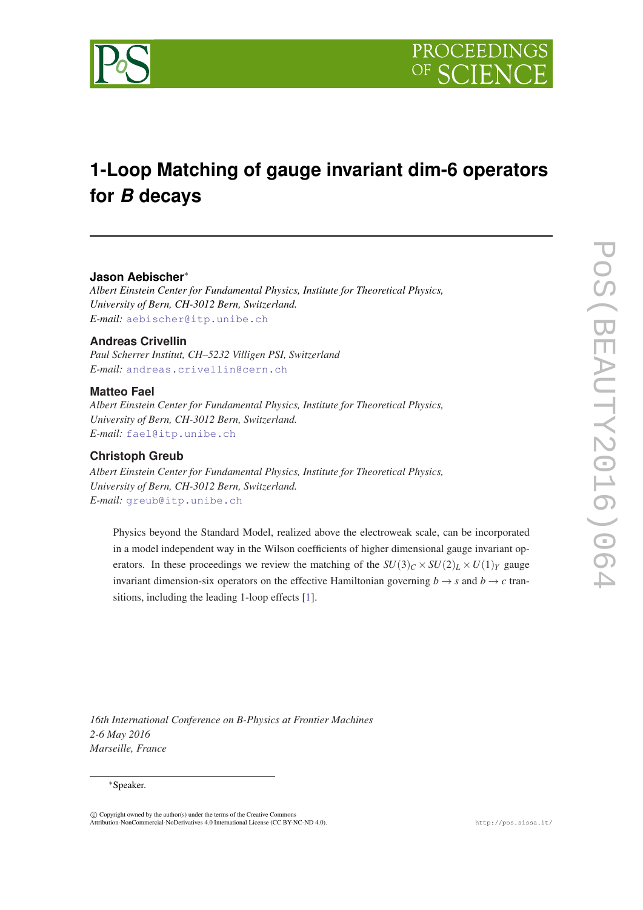

# **1-Loop Matching of gauge invariant dim-6 operators for** *B* **decays**

# **Jason Aebischer**∗

*Albert Einstein Center for Fundamental Physics, Institute for Theoretical Physics, University of Bern, CH-3012 Bern, Switzerland. E-mail:* [aebischer@itp.unibe.ch](mailto:aebischer@itp.unibe.ch)

### **Andreas Crivellin**

*Paul Scherrer Institut, CH–5232 Villigen PSI, Switzerland E-mail:* [andreas.crivellin@cern.ch](mailto:andreas.crivellin@cern.ch)

### **Matteo Fael**

*Albert Einstein Center for Fundamental Physics, Institute for Theoretical Physics, University of Bern, CH-3012 Bern, Switzerland. E-mail:* [fael@itp.unibe.ch](mailto:fael@itp.unibe.ch)

# **Christoph Greub**

*Albert Einstein Center for Fundamental Physics, Institute for Theoretical Physics, University of Bern, CH-3012 Bern, Switzerland. E-mail:* [greub@itp.unibe.ch](mailto:greub@itp.unibe.ch)

Physics beyond the Standard Model, realized above the electroweak scale, can be incorporated in a model independent way in the Wilson coefficients of higher dimensional gauge invariant operators. In these proceedings we review the matching of the  $SU(3)_C \times SU(2)_L \times U(1)_Y$  gauge invariant dimension-six operators on the effective Hamiltonian governing  $b \rightarrow s$  and  $b \rightarrow c$  transitions, including the leading 1-loop effects [[1\]](#page-3-0).

*16th International Conference on B-Physics at Frontier Machines 2-6 May 2016 Marseille, France*

### ∗Speaker.

 $\overline{c}$  Copyright owned by the author(s) under the terms of the Creative Common Attribution-NonCommercial-NoDerivatives 4.0 International License (CC BY-NC-ND 4.0). http://pos.sissa.it/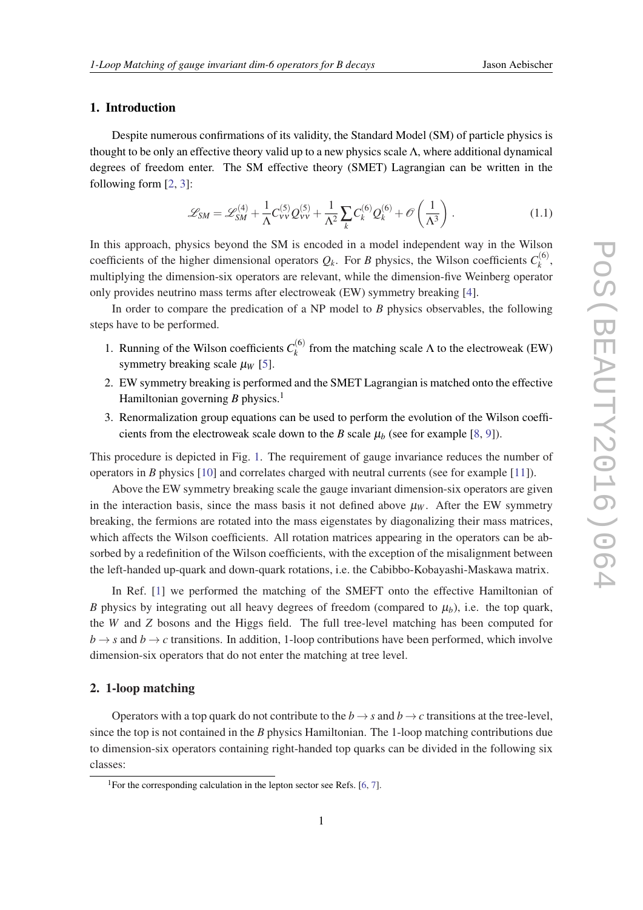# 1. Introduction

Despite numerous confirmations of its validity, the Standard Model (SM) of particle physics is thought to be only an effective theory valid up to a new physics scale  $\Lambda$ , where additional dynamical degrees of freedom enter. The SM effective theory (SMET) Lagrangian can be written in the following form [[2](#page-3-0), [3](#page-3-0)]:

$$
\mathcal{L}_{SM} = \mathcal{L}_{SM}^{(4)} + \frac{1}{\Lambda} C_{VV}^{(5)} Q_{VV}^{(5)} + \frac{1}{\Lambda^2} \sum_{k} C_{k}^{(6)} Q_{k}^{(6)} + \mathcal{O}\left(\frac{1}{\Lambda^3}\right). \tag{1.1}
$$

In this approach, physics beyond the SM is encoded in a model independent way in the Wilson coefficients of the higher dimensional operators  $Q_k$ . For *B* physics, the Wilson coefficients  $C_k^{(6)}$  $\frac{d}{k}$ , multiplying the dimension-six operators are relevant, while the dimension-five Weinberg operator only provides neutrino mass terms after electroweak (EW) symmetry breaking [[4](#page-3-0)].

In order to compare the predication of a NP model to *B* physics observables, the following steps have to be performed.

- 1. Running of the Wilson coefficients  $C_k^{(6)}$  $f_k^{(0)}$  from the matching scale  $\Lambda$  to the electroweak (EW) symmetry breaking scale  $\mu_W$  [[5](#page-3-0)].
- 2. EW symmetry breaking is performed and the SMET Lagrangian is matched onto the effective Hamiltonian governing  $B$  physics.<sup>1</sup>
- 3. Renormalization group equations can be used to perform the evolution of the Wilson coefficients from the electroweak scale down to the *B* scale  $\mu_b$  (see for example [[8](#page-3-0), [9](#page-3-0)]).

This procedure is depicted in Fig. [1.](#page-2-0) The requirement of gauge invariance reduces the number of operators in *B* physics [\[10](#page-3-0)] and correlates charged with neutral currents (see for example [\[11](#page-3-0)]).

Above the EW symmetry breaking scale the gauge invariant dimension-six operators are given in the interaction basis, since the mass basis it not defined above  $\mu_w$ . After the EW symmetry breaking, the fermions are rotated into the mass eigenstates by diagonalizing their mass matrices, which affects the Wilson coefficients. All rotation matrices appearing in the operators can be absorbed by a redefinition of the Wilson coefficients, with the exception of the misalignment between the left-handed up-quark and down-quark rotations, i.e. the Cabibbo-Kobayashi-Maskawa matrix.

In Ref. [\[1\]](#page-3-0) we performed the matching of the SMEFT onto the effective Hamiltonian of *B* physics by integrating out all heavy degrees of freedom (compared to  $\mu_b$ ), i.e. the top quark, the *W* and *Z* bosons and the Higgs field. The full tree-level matching has been computed for  $b \rightarrow s$  and  $b \rightarrow c$  transitions. In addition, 1-loop contributions have been performed, which involve dimension-six operators that do not enter the matching at tree level.

### 2. 1-loop matching

Operators with a top quark do not contribute to the  $b \rightarrow s$  and  $b \rightarrow c$  transitions at the tree-level, since the top is not contained in the *B* physics Hamiltonian. The 1-loop matching contributions due to dimension-six operators containing right-handed top quarks can be divided in the following six classes:

<sup>&</sup>lt;sup>1</sup>For the corresponding calculation in the lepton sector see Refs. [[6](#page-3-0), [7](#page-3-0)].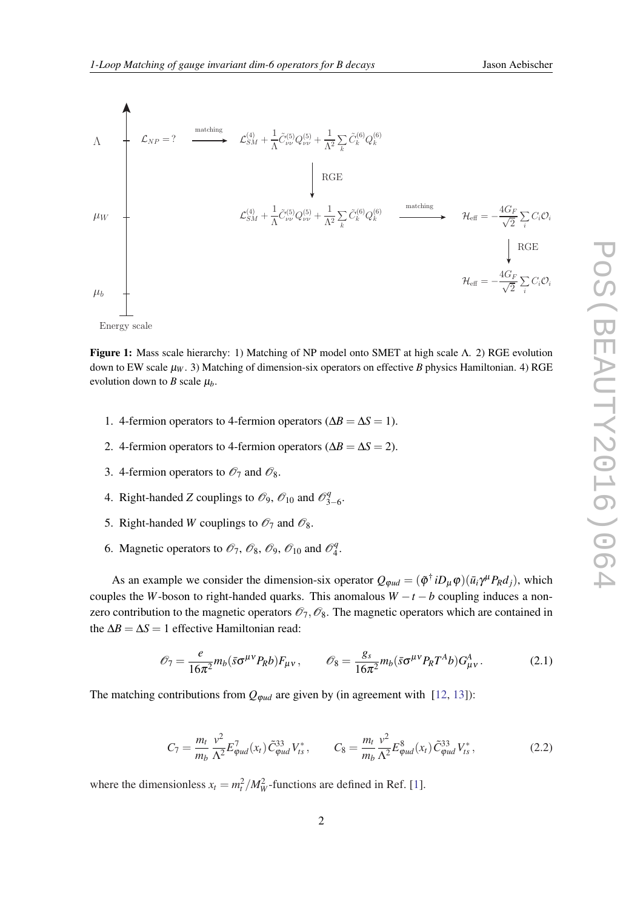<span id="page-2-0"></span>

Figure 1: Mass scale hierarchy: 1) Matching of NP model onto SMET at high scale Λ. 2) RGE evolution down to EW scale  $\mu_W$ . 3) Matching of dimension-six operators on effective *B* physics Hamiltonian. 4) RGE evolution down to *B* scale  $\mu_b$ .

- 1. 4-fermion operators to 4-fermion operators ( $\Delta B = \Delta S = 1$ ).
- 2. 4-fermion operators to 4-fermion operators ( $\Delta B = \Delta S = 2$ ).
- 3. 4-fermion operators to  $\mathcal{O}_7$  and  $\mathcal{O}_8$ .
- 4. Right-handed *Z* couplings to  $\mathcal{O}_9$ ,  $\mathcal{O}_{10}$  and  $\mathcal{O}_3^q$ y<br>3–6∙
- 5. Right-handed *W* couplings to  $\mathcal{O}_7$  and  $\mathcal{O}_8$ .
- 6. Magnetic operators to  $\mathcal{O}_7$ ,  $\mathcal{O}_8$ ,  $\mathcal{O}_9$ ,  $\mathcal{O}_{10}$  and  $\mathcal{O}_4^q$  $\frac{q}{4}$ .

As an example we consider the dimension-six operator  $Q_{\varphi ud} = (\tilde{\varphi}^{\dagger} i D_{\mu} \varphi)(\bar{u}_i \gamma^{\mu} P_R d_j)$ , which couples the *W*-boson to right-handed quarks. This anomalous  $W - t - b$  coupling induces a nonzero contribution to the magnetic operators  $\mathcal{O}_7$ ,  $\mathcal{O}_8$ . The magnetic operators which are contained in the  $\Delta B = \Delta S = 1$  effective Hamiltonian read:

$$
\mathcal{O}_7 = \frac{e}{16\pi^2} m_b (\bar{s} \sigma^{\mu\nu} P_R b) F_{\mu\nu}, \qquad \mathcal{O}_8 = \frac{g_s}{16\pi^2} m_b (\bar{s} \sigma^{\mu\nu} P_R T^A b) G_{\mu\nu}^A. \tag{2.1}
$$

The matching contributions from  $Q_{\varphi ud}$  are given by (in agreement with [\[12,](#page-3-0) [13](#page-3-0)]):

$$
C_7 = \frac{m_t}{m_b} \frac{v^2}{\Lambda^2} E_{\varphi ud}^7(x_t) \tilde{C}_{\varphi ud}^{33} V_{ts}^*, \qquad C_8 = \frac{m_t}{m_b} \frac{v^2}{\Lambda^2} E_{\varphi ud}^8(x_t) \tilde{C}_{\varphi ud}^{33} V_{ts}^*,
$$
(2.2)

where the dimensionless  $x_t = m_t^2 / M_W^2$ -functions are defined in Ref. [[1](#page-3-0)].